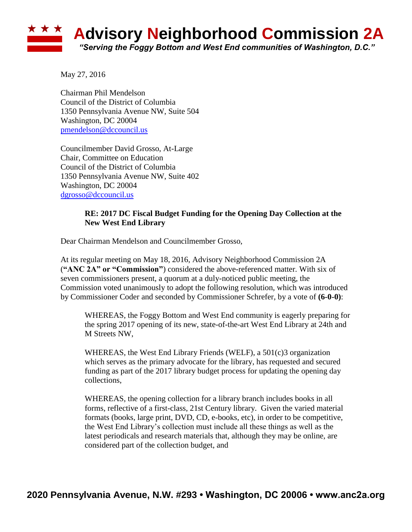## **Advisory Neighborhood Commission 2A** *"Serving the Foggy Bottom and West End communities of Washington, D.C."*

May 27, 2016

Chairman Phil Mendelson Council of the District of Columbia 1350 Pennsylvania Avenue NW, Suite 504 Washington, DC 20004 [pmendelson@dccouncil.us](mailto:pmendelson@dccouncil.us)

Councilmember David Grosso, At-Large Chair, Committee on Education Council of the District of Columbia 1350 Pennsylvania Avenue NW, Suite 402 Washington, DC 20004 [dgrosso@dccouncil.us](mailto:dgrosso@dccouncil.us)

## **RE: 2017 DC Fiscal Budget Funding for the Opening Day Collection at the New West End Library**

Dear Chairman Mendelson and Councilmember Grosso,

At its regular meeting on May 18, 2016, Advisory Neighborhood Commission 2A (**"ANC 2A" or "Commission"**) considered the above-referenced matter. With six of seven commissioners present, a quorum at a duly-noticed public meeting, the Commission voted unanimously to adopt the following resolution, which was introduced by Commissioner Coder and seconded by Commissioner Schrefer, by a vote of **(6-0-0)**:

WHEREAS, the Foggy Bottom and West End community is eagerly preparing for the spring 2017 opening of its new, state-of-the-art West End Library at 24th and M Streets NW,

WHEREAS, the West End Library Friends (WELF), a 501(c)3 organization which serves as the primary advocate for the library, has requested and secured funding as part of the 2017 library budget process for updating the opening day collections,

WHEREAS, the opening collection for a library branch includes books in all forms, reflective of a first-class, 21st Century library. Given the varied material formats (books, large print, DVD, CD, e-books, etc), in order to be competitive, the West End Library's collection must include all these things as well as the latest periodicals and research materials that, although they may be online, are considered part of the collection budget, and